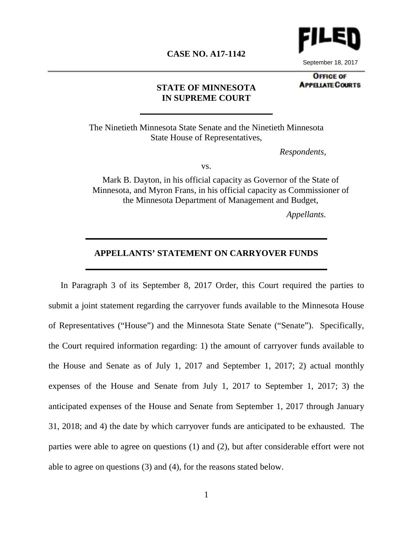

September 18, 2017

#### **CASE NO. A17-1142**

**OFFICE OF APPELATE COURTS** 

#### **STATE OF MINNESOTA IN SUPREME COURT**

The Ninetieth Minnesota State Senate and the Ninetieth Minnesota State House of Representatives,

*Respondents,*

vs.

Mark B. Dayton, in his official capacity as Governor of the State of Minnesota, and Myron Frans, in his official capacity as Commissioner of the Minnesota Department of Management and Budget,

*Appellants.*

### **APPELLANTS' STATEMENT ON CARRYOVER FUNDS**

In Paragraph 3 of its September 8, 2017 Order, this Court required the parties to submit a joint statement regarding the carryover funds available to the Minnesota House of Representatives ("House") and the Minnesota State Senate ("Senate"). Specifically, the Court required information regarding: 1) the amount of carryover funds available to the House and Senate as of July 1, 2017 and September 1, 2017; 2) actual monthly expenses of the House and Senate from July 1, 2017 to September 1, 2017; 3) the anticipated expenses of the House and Senate from September 1, 2017 through January 31, 2018; and 4) the date by which carryover funds are anticipated to be exhausted. The parties were able to agree on questions (1) and (2), but after considerable effort were not able to agree on questions (3) and (4), for the reasons stated below.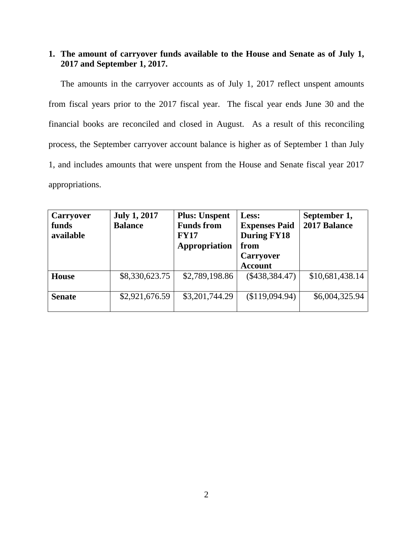## **1. The amount of carryover funds available to the House and Senate as of July 1, 2017 and September 1, 2017.**

The amounts in the carryover accounts as of July 1, 2017 reflect unspent amounts from fiscal years prior to the 2017 fiscal year. The fiscal year ends June 30 and the financial books are reconciled and closed in August. As a result of this reconciling process, the September carryover account balance is higher as of September 1 than July 1, and includes amounts that were unspent from the House and Senate fiscal year 2017 appropriations.

| <b>Carryover</b> | <b>July 1, 2017</b> | <b>Plus: Unspent</b> | Less:                | September 1,    |
|------------------|---------------------|----------------------|----------------------|-----------------|
| funds            | <b>Balance</b>      | <b>Funds from</b>    | <b>Expenses Paid</b> | 2017 Balance    |
| available        |                     | <b>FY17</b>          | <b>During FY18</b>   |                 |
|                  |                     | Appropriation        | from                 |                 |
|                  |                     |                      | <b>Carryover</b>     |                 |
|                  |                     |                      | <b>Account</b>       |                 |
| <b>House</b>     | \$8,330,623.75      | \$2,789,198.86       | $(\$438,384.47)$     | \$10,681,438.14 |
| <b>Senate</b>    | \$2,921,676.59      | \$3,201,744.29       | (\$119,094.94)       | \$6,004,325.94  |
|                  |                     |                      |                      |                 |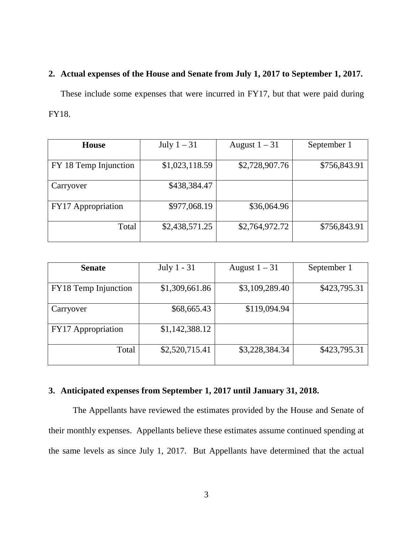## **2. Actual expenses of the House and Senate from July 1, 2017 to September 1, 2017.**

These include some expenses that were incurred in FY17, but that were paid during FY18.

| <b>House</b>          | July $1-31$    | August $1 - 31$ | September 1  |
|-----------------------|----------------|-----------------|--------------|
| FY 18 Temp Injunction | \$1,023,118.59 | \$2,728,907.76  | \$756,843.91 |
| Carryover             | \$438,384.47   |                 |              |
| FY17 Appropriation    | \$977,068.19   | \$36,064.96     |              |
| Total                 | \$2,438,571.25 | \$2,764,972.72  | \$756,843.91 |

| <b>Senate</b>        | July 1 - 31    | August $1 - 31$ | September 1  |
|----------------------|----------------|-----------------|--------------|
|                      |                |                 |              |
| FY18 Temp Injunction | \$1,309,661.86 | \$3,109,289.40  | \$423,795.31 |
|                      |                |                 |              |
| Carryover            | \$68,665.43    | \$119,094.94    |              |
|                      |                |                 |              |
| FY17 Appropriation   | \$1,142,388.12 |                 |              |
|                      |                |                 |              |
| Total                | \$2,520,715.41 | \$3,228,384.34  | \$423,795.31 |
|                      |                |                 |              |

# **3. Anticipated expenses from September 1, 2017 until January 31, 2018.**

The Appellants have reviewed the estimates provided by the House and Senate of their monthly expenses. Appellants believe these estimates assume continued spending at the same levels as since July 1, 2017. But Appellants have determined that the actual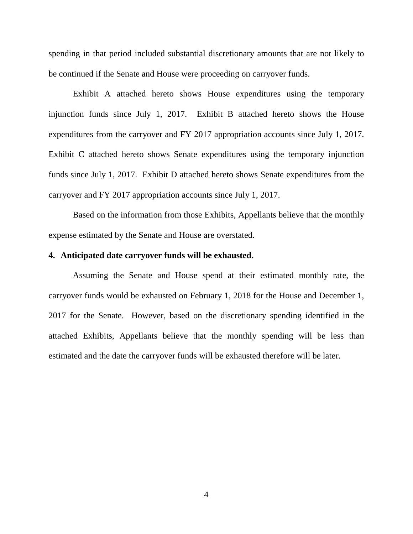spending in that period included substantial discretionary amounts that are not likely to be continued if the Senate and House were proceeding on carryover funds.

Exhibit A attached hereto shows House expenditures using the temporary injunction funds since July 1, 2017. Exhibit B attached hereto shows the House expenditures from the carryover and FY 2017 appropriation accounts since July 1, 2017. Exhibit C attached hereto shows Senate expenditures using the temporary injunction funds since July 1, 2017. Exhibit D attached hereto shows Senate expenditures from the carryover and FY 2017 appropriation accounts since July 1, 2017.

Based on the information from those Exhibits, Appellants believe that the monthly expense estimated by the Senate and House are overstated.

#### **4. Anticipated date carryover funds will be exhausted.**

Assuming the Senate and House spend at their estimated monthly rate, the carryover funds would be exhausted on February 1, 2018 for the House and December 1, 2017 for the Senate. However, based on the discretionary spending identified in the attached Exhibits, Appellants believe that the monthly spending will be less than estimated and the date the carryover funds will be exhausted therefore will be later.